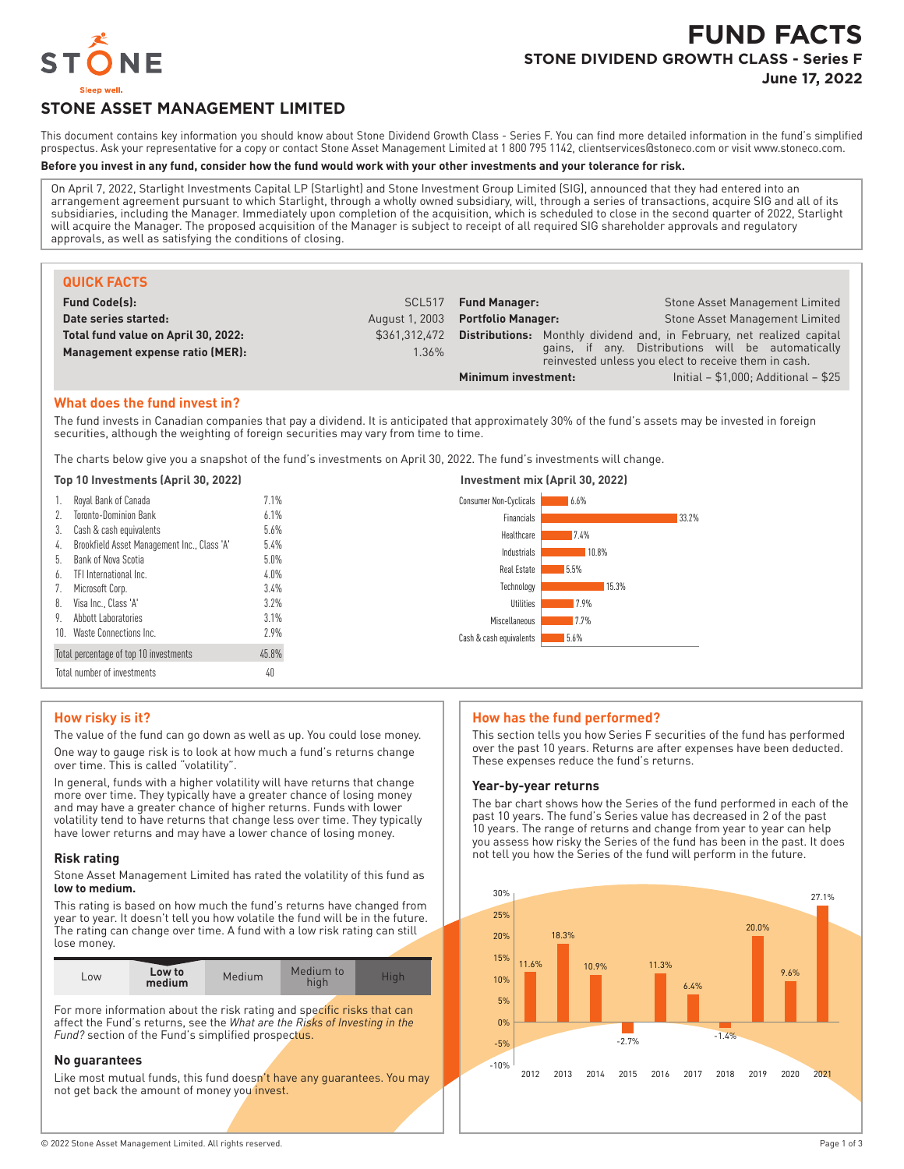

# **FUND FACTS STONE DIVIDEND GROWTH CLASS - Series F**

**June 17, 2022**

## **STONE ASSET MANAGEMENT LIMITED**

This document contains key information you should know about Stone Dividend Growth Class - Series F. You can find more detailed information in the fund's simplified prospectus. Ask your representative for a copy or contact Stone Asset Management Limited at 1 800 795 1142, clientservices@stoneco.com or visit www.stoneco.com.

## **Before you invest in any fund, consider how the fund would work with your other investments and your tolerance for risk.**

On April 7, 2022, Starlight Investments Capital LP (Starlight) and Stone Investment Group Limited (SIG), announced that they had entered into an arrangement agreement pursuant to which Starlight, through a wholly owned subsidiary, will, through a series of transactions, acquire SIG and all of its subsidiaries, including the Manager. Immediately upon completion of the acquisition, which is scheduled to close in the second quarter of 2022, Starlight will acquire the Manager. The proposed acquisition of the Manager is subject to receipt of all required SIG shareholder approvals and regulatory approvals, as well as satisfying the conditions of closing.

| <b>QUICK FACTS</b>                  |                    |                           |                                                                                                            |
|-------------------------------------|--------------------|---------------------------|------------------------------------------------------------------------------------------------------------|
| <b>Fund Code(s):</b>                | SCL <sub>517</sub> | <b>Fund Manager:</b>      | Stone Asset Management Limited                                                                             |
| Date series started:                | August 1, 2003     | <b>Portfolio Manager:</b> | <b>Stone Asset Management Limited</b>                                                                      |
| Total fund value on April 30, 2022: | \$361.312.472      | Distributions:            | Monthly dividend and, in February, net realized capital                                                    |
| Management expense ratio (MER):     | 1.36%              |                           | gains, if any. Distributions will be automatically<br>reinvested unless you elect to receive them in cash. |
|                                     |                    | Minimum investment:       | Initial - \$1,000; Additional - \$25                                                                       |

## **What does the fund invest in?**

The fund invests in Canadian companies that pay a dividend. It is anticipated that approximately 30% of the fund's assets may be invested in foreign securities, although the weighting of foreign securities may vary from time to time.

The charts below give you a snapshot of the fund's investments on April 30, 2022. The fund's investments will change.

#### **Top 10 Investments (April 30, 2022) Investment mix (April 30, 2022)**

| Royal Bank of Canada<br><b>Toronto-Dominion Bank</b><br>2.                   | 7.1%<br>6.1%    | Consumer Non-Cyclicals<br>6.6%<br>Financials<br>33.2%     |
|------------------------------------------------------------------------------|-----------------|-----------------------------------------------------------|
| Cash & cash equivalents<br>3.<br>Brookfield Asset Management Inc., Class 'A' | 5.6%<br>5.4%    | Healthcare<br>7.4%                                        |
| 4.<br>Bank of Nova Scotia<br>b.                                              | $5.0\%$         | Industrials<br>10.8%<br>Real Estate<br>5.5%               |
| TFI International Inc.<br>6.<br>Microsoft Corp.                              | $4.0\%$<br>3.4% | Technology<br>15.3%                                       |
| Visa Inc., Class 'A'<br>8.                                                   | 3.2%            | Utilities<br>17.9%                                        |
| Abbott Laboratories<br>9.<br>10. Waste Connections Inc.                      | 3.1%<br>2.9%    | Miscellaneous<br>17.7%<br>5.6%<br>Cash & cash equivalents |
| Total percentage of top 10 investments                                       | 45.8%           |                                                           |
| Total number of investments                                                  | 40              |                                                           |

## **How risky is it?**

The value of the fund can go down as well as up. You could lose money. One way to gauge risk is to look at how much a fund's returns change over time. This is called "volatility".

In general, funds with a higher volatility will have returns that change more over time. They typically have a greater chance of losing money and may have a greater chance of higher returns. Funds with lower volatility tend to have returns that change less over time. They typically have lower returns and may have a lower chance of losing money.

#### **Risk rating**

Stone Asset Management Limited has rated the volatility of this fund as **low to medium.**

This rating is based on how much the fund's returns have changed from year to year. It doesn't tell you how volatile the fund will be in the future. The rating can change over time. A fund with a low risk rating can still lose money.

| LOW | Low to<br>medium | Medium | Medium to |  |
|-----|------------------|--------|-----------|--|

For more information about the risk rating and specific risks that can affect the Fund's returns, see the *What are the Risks of Investing in the Fund?* section of the Fund's simplified prospectus.

## **No guarantees**

Like most mutual funds, this fund doesn't have any guarantees. You may not get back the amount of money you invest.

#### **How has the fund performed?**

This section tells you how Series F securities of the fund has performed over the past 10 years. Returns are after expenses have been deducted. These expenses reduce the fund's returns.

## **Year-by-year returns**

The bar chart shows how the Series of the fund performed in each of the past 10 years. The fund's Series value has decreased in 2 of the past 10 years. The range of returns and change from year to year can help you assess how risky the Series of the fund has been in the past. It does not tell you how the Series of the fund will perform in the future.

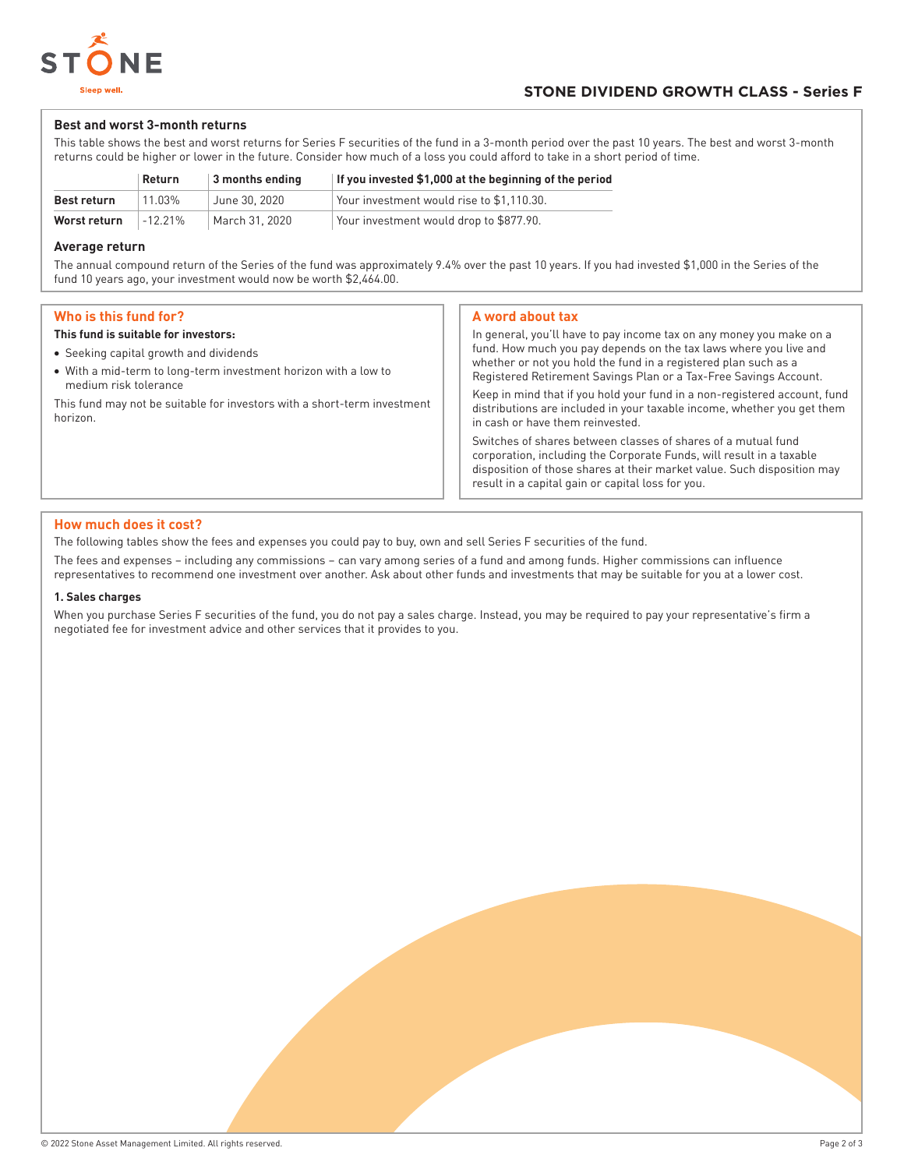

## **Best and worst 3-month returns**

This table shows the best and worst returns for Series F securities of the fund in a 3-month period over the past 10 years. The best and worst 3-month returns could be higher or lower in the future. Consider how much of a loss you could afford to take in a short period of time.

|              | Return   | 3 months ending | If you invested \$1,000 at the beginning of the period |
|--------------|----------|-----------------|--------------------------------------------------------|
| Best return  | 11 03%   | June 30. 2020   | Your investment would rise to \$1.110.30.              |
| Worst return | $-1221%$ | March 31, 2020  | Your investment would drop to \$877.90.                |

## **Average return**

The annual compound return of the Series of the fund was approximately 9.4% over the past 10 years. If you had invested \$1,000 in the Series of the fund 10 years ago, your investment would now be worth \$2,464.00.

## **Who is this fund for?**

### **This fund is suitable for investors:**

- Seeking capital growth and dividends
- With a mid-term to long-term investment horizon with a low to medium risk tolerance

This fund may not be suitable for investors with a short-term investment horizon.

## **A word about tax**

In general, you'll have to pay income tax on any money you make on a fund. How much you pay depends on the tax laws where you live and whether or not you hold the fund in a registered plan such as a Registered Retirement Savings Plan or a Tax-Free Savings Account. Keep in mind that if you hold your fund in a non-registered account, fund distributions are included in your taxable income, whether you get them in cash or have them reinvested. Switches of shares between classes of shares of a mutual fund corporation, including the Corporate Funds, will result in a taxable disposition of those shares at their market value. Such disposition may

result in a capital gain or capital loss for you.

## **How much does it cost?**

The following tables show the fees and expenses you could pay to buy, own and sell Series F securities of the fund.

The fees and expenses – including any commissions – can vary among series of a fund and among funds. Higher commissions can influence representatives to recommend one investment over another. Ask about other funds and investments that may be suitable for you at a lower cost.

#### **1. Sales charges**

When you purchase Series F securities of the fund, you do not pay a sales charge. Instead, you may be required to pay your representative's firm a negotiated fee for investment advice and other services that it provides to you.